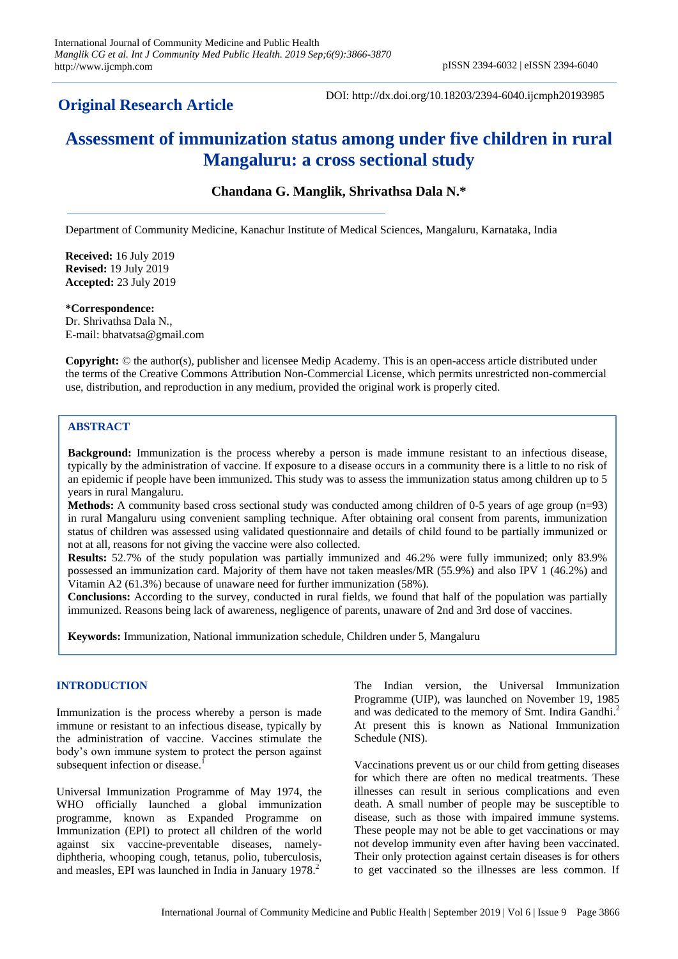# **Original Research Article**

DOI: http://dx.doi.org/10.18203/2394-6040.ijcmph20193985

# **Assessment of immunization status among under five children in rural Mangaluru: a cross sectional study**

# **Chandana G. Manglik, Shrivathsa Dala N.\***

Department of Community Medicine, Kanachur Institute of Medical Sciences, Mangaluru, Karnataka, India

**Received:** 16 July 2019 **Revised:** 19 July 2019 **Accepted:** 23 July 2019

**\*Correspondence:** Dr. Shrivathsa Dala N., E-mail: bhatvatsa@gmail.com

**Copyright:** © the author(s), publisher and licensee Medip Academy. This is an open-access article distributed under the terms of the Creative Commons Attribution Non-Commercial License, which permits unrestricted non-commercial use, distribution, and reproduction in any medium, provided the original work is properly cited.

# **ABSTRACT**

**Background:** Immunization is the process whereby a person is made immune resistant to an infectious disease, typically by the administration of vaccine. If exposure to a disease occurs in a community there is a little to no risk of an epidemic if people have been immunized. This study was to assess the immunization status among children up to 5 years in rural Mangaluru.

**Methods:** A community based cross sectional study was conducted among children of 0-5 years of age group (n=93) in rural Mangaluru using convenient sampling technique. After obtaining oral consent from parents, immunization status of children was assessed using validated questionnaire and details of child found to be partially immunized or not at all, reasons for not giving the vaccine were also collected.

**Results:** 52.7% of the study population was partially immunized and 46.2% were fully immunized; only 83.9% possessed an immunization card. Majority of them have not taken measles/MR (55.9%) and also IPV 1 (46.2%) and Vitamin A2 (61.3%) because of unaware need for further immunization (58%).

**Conclusions:** According to the survey, conducted in rural fields, we found that half of the population was partially immunized. Reasons being lack of awareness, negligence of parents, unaware of 2nd and 3rd dose of vaccines.

**Keywords:** Immunization, National immunization schedule, Children under 5, Mangaluru

# **INTRODUCTION**

Immunization is the process whereby a person is made immune or resistant to an infectious disease, typically by the administration of vaccine. Vaccines stimulate the body's own immune system to protect the person against subsequent infection or disease.<sup>1</sup>

Universal Immunization Programme of May 1974, the WHO officially launched a global immunization programme, known as Expanded Programme on Immunization (EPI) to protect all children of the world against six vaccine-preventable diseases, namelydiphtheria, whooping cough, tetanus, polio, tuberculosis, and measles, EPI was launched in India in January 1978. 2

The Indian version, the Universal Immunization Programme (UIP), was launched on November 19, 1985 and was dedicated to the memory of Smt. Indira Gandhi.<sup>2</sup> At present this is known as National Immunization Schedule (NIS).

Vaccinations prevent us or our child from getting diseases for which there are often no medical treatments. These illnesses can result in serious complications and even death. A small number of people may be susceptible to disease, such as those with impaired immune systems. These people may not be able to get vaccinations or may not develop immunity even after having been vaccinated. Their only protection against certain diseases is for others to get vaccinated so the illnesses are less common. If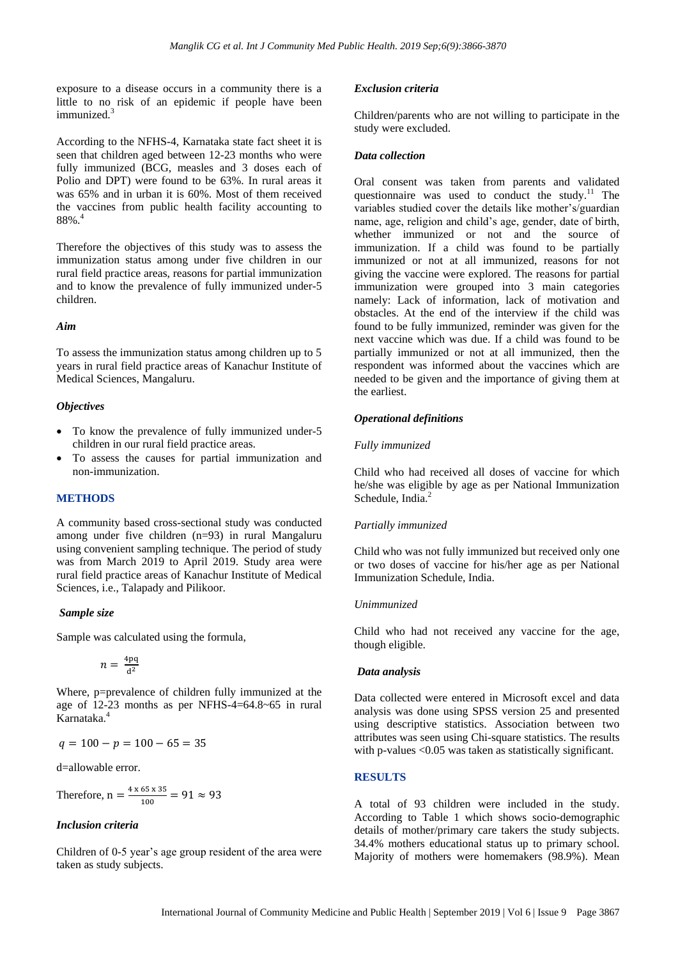exposure to a disease occurs in a community there is a little to no risk of an epidemic if people have been immunized.<sup>3</sup>

According to the NFHS-4, Karnataka state fact sheet it is seen that children aged between 12-23 months who were fully immunized (BCG, measles and 3 doses each of Polio and DPT) were found to be 63%. In rural areas it was 65% and in urban it is 60%. Most of them received the vaccines from public health facility accounting to 88%.<sup>4</sup>

Therefore the objectives of this study was to assess the immunization status among under five children in our rural field practice areas, reasons for partial immunization and to know the prevalence of fully immunized under-5 children.

#### *Aim*

To assess the immunization status among children up to 5 years in rural field practice areas of Kanachur Institute of Medical Sciences, Mangaluru.

### *Objectives*

- To know the prevalence of fully immunized under-5 children in our rural field practice areas.
- To assess the causes for partial immunization and non-immunization.

#### **METHODS**

A community based cross-sectional study was conducted among under five children (n=93) in rural Mangaluru using convenient sampling technique. The period of study was from March 2019 to April 2019. Study area were rural field practice areas of Kanachur Institute of Medical Sciences, i.e., Talapady and Pilikoor.

#### *Sample size*

Sample was calculated using the formula,

$$
n=\frac{4\,\mathrm{p}\mathrm{q}}{\mathrm{d}^2}
$$

Where, p=prevalence of children fully immunized at the age of 12-23 months as per NFHS-4=64.8~65 in rural Karnataka. 4

$$
q = 100 - p = 100 - 65 = 35
$$

d=allowable error.

Therefore,  $n = \frac{4}{3}$  $\frac{63 \times 33}{100}$  =

### *Inclusion criteria*

Children of 0-5 year's age group resident of the area were taken as study subjects.

#### *Exclusion criteria*

Children/parents who are not willing to participate in the study were excluded.

#### *Data collection*

Oral consent was taken from parents and validated questionnaire was used to conduct the study.<sup>11</sup> The variables studied cover the details like mother's/guardian name, age, religion and child's age, gender, date of birth, whether immunized or not and the source of immunization. If a child was found to be partially immunized or not at all immunized, reasons for not giving the vaccine were explored. The reasons for partial immunization were grouped into 3 main categories namely: Lack of information, lack of motivation and obstacles. At the end of the interview if the child was found to be fully immunized, reminder was given for the next vaccine which was due. If a child was found to be partially immunized or not at all immunized, then the respondent was informed about the vaccines which are needed to be given and the importance of giving them at the earliest.

## *Operational definitions*

### *Fully immunized*

Child who had received all doses of vaccine for which he/she was eligible by age as per National Immunization Schedule, India.<sup>2</sup>

### *Partially immunized*

Child who was not fully immunized but received only one or two doses of vaccine for his/her age as per National Immunization Schedule, India.

# *Unimmunized*

Child who had not received any vaccine for the age, though eligible.

#### *Data analysis*

Data collected were entered in Microsoft excel and data analysis was done using SPSS version 25 and presented using descriptive statistics. Association between two attributes was seen using Chi-square statistics. The results with p-values <0.05 was taken as statistically significant.

# **RESULTS**

A total of 93 children were included in the study. According to Table 1 which shows socio-demographic details of mother/primary care takers the study subjects. 34.4% mothers educational status up to primary school. Majority of mothers were homemakers (98.9%). Mean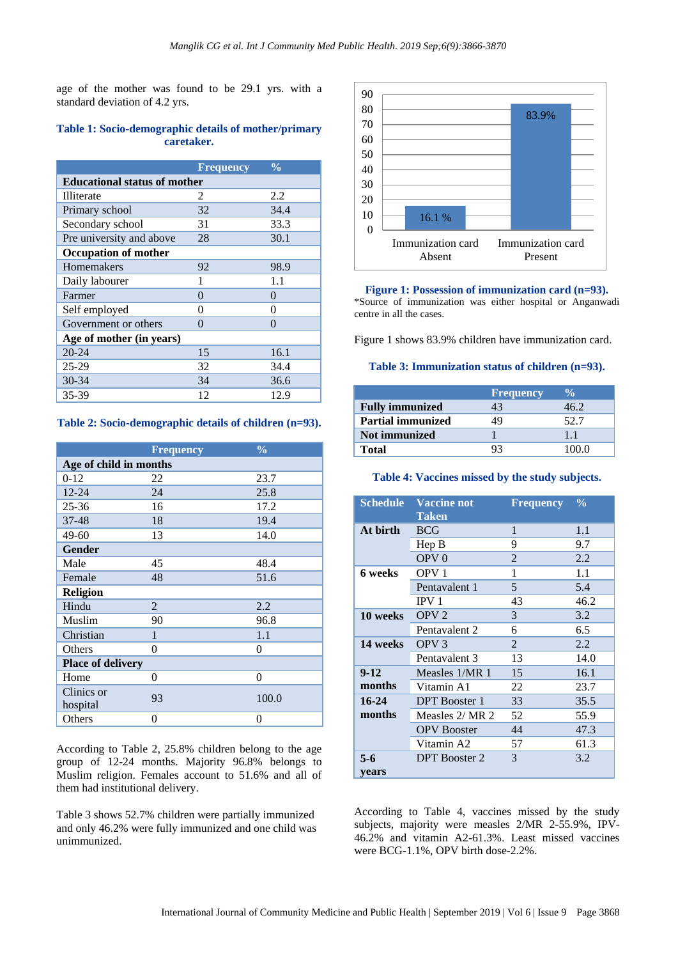age of the mother was found to be 29.1 yrs. with a standard deviation of 4.2 yrs.

# **Table 1: Socio-demographic details of mother/primary caretaker.**

|                                     | <b>Frequency</b> | $\frac{0}{0}$ |  |
|-------------------------------------|------------------|---------------|--|
| <b>Educational status of mother</b> |                  |               |  |
| Illiterate                          | $\mathcal{L}$    | 2.2           |  |
| Primary school                      | 32               | 34.4          |  |
| Secondary school                    | 31               | 33.3          |  |
| Pre university and above            | 28               | 30.1          |  |
| <b>Occupation of mother</b>         |                  |               |  |
| Homemakers                          | 92               | 98.9          |  |
| Daily labourer                      | 1                | 1.1           |  |
| Farmer                              | 0                | $\Omega$      |  |
| Self employed                       | 0                | 0             |  |
| Government or others                | $\theta$         | 0             |  |
| Age of mother (in years)            |                  |               |  |
| $20 - 24$                           | 15               | 16.1          |  |
| $25-29$                             | 32               | 34.4          |  |
| 30-34                               | 34               | 36.6          |  |
| 35-39                               | 12               | 12.9          |  |

**Table 2: Socio-demographic details of children (n=93).**

|                          | <b>Frequency</b> | $\frac{0}{0}$  |  |  |
|--------------------------|------------------|----------------|--|--|
| Age of child in months   |                  |                |  |  |
| $0-12$                   | 22               | 23.7           |  |  |
| $12 - 24$                | 24               | 25.8           |  |  |
| $25 - 36$                | 16               | 17.2           |  |  |
| 37-48                    | 18               | 19.4           |  |  |
| $49 - 60$                | 13               | 14.0           |  |  |
| <b>Gender</b>            |                  |                |  |  |
| Male                     | 45               | 48.4           |  |  |
| Female                   | 48               | 51.6           |  |  |
| <b>Religion</b>          |                  |                |  |  |
| Hindu                    | $\overline{2}$   | 2.2            |  |  |
| Muslim                   | 90               | 96.8           |  |  |
| Christian                | 1                | 1.1            |  |  |
| Others                   | 0                | 0              |  |  |
| <b>Place of delivery</b> |                  |                |  |  |
| Home                     | 0                | $\overline{0}$ |  |  |
| Clinics or<br>hospital   | 93               | 100.0          |  |  |
| Others                   | 0                | 0              |  |  |

According to Table 2, 25.8% children belong to the age group of 12-24 months. Majority 96.8% belongs to Muslim religion. Females account to 51.6% and all of them had institutional delivery.

Table 3 shows 52.7% children were partially immunized and only 46.2% were fully immunized and one child was unimmunized.



**Figure 1: Possession of immunization card (n=93).** \*Source of immunization was either hospital or Anganwadi centre in all the cases.

Figure 1 shows 83.9% children have immunization card.

## **Table 3: Immunization status of children (n=93).**

|                          | <b>Frequency</b> |       |
|--------------------------|------------------|-------|
| <b>Fully immunized</b>   |                  | 46 2  |
| <b>Partial immunized</b> |                  | 52.7  |
| <b>Not immunized</b>     |                  | 11    |
| Total                    |                  | 100 0 |

### **Table 4: Vaccines missed by the study subjects.**

| <b>Schedule</b>          | <b>Vaccine not</b><br><b>Taken</b> | $\frac{0}{0}$  |      |
|--------------------------|------------------------------------|----------------|------|
| At birth                 | <b>BCG</b>                         | 1              | 1.1  |
|                          | HepB                               | 9              | 9.7  |
|                          | OPV <sub>0</sub>                   | $\overline{2}$ | 2.2  |
| 6 weeks                  | OPV <sub>1</sub>                   | 1              | 1.1  |
|                          | Pentavalent 1                      | 5              | 5.4  |
|                          | IPV <sub>1</sub>                   | 43             | 46.2 |
| 10 weeks                 | OPV <sub>2</sub>                   | 3              | 3.2  |
|                          | Pentavalent 2                      | 6              | 6.5  |
| 14 weeks                 | OPV <sub>3</sub>                   | $\mathfrak{D}$ | 2.2  |
|                          | Pentavalent 3                      | 13             | 14.0 |
| Measles 1/MR 1<br>$9-12$ |                                    | 15             | 16.1 |
| months                   | Vitamin A1                         | 22             | 23.7 |
| $16 - 24$                | <b>DPT</b> Booster 1               | 33             | 35.5 |
| months                   | Measles 2/ MR 2                    | 52             | 55.9 |
|                          | <b>OPV</b> Booster                 | 44             | 47.3 |
|                          | Vitamin A2                         | 57             | 61.3 |
| $5 - 6$                  | <b>DPT</b> Booster 2               | 3              | 3.2  |
| vears                    |                                    |                |      |

According to Table 4, vaccines missed by the study subjects, majority were measles 2/MR 2-55.9%, IPV-46.2% and vitamin A2-61.3%. Least missed vaccines were BCG-1.1%, OPV birth dose-2.2%.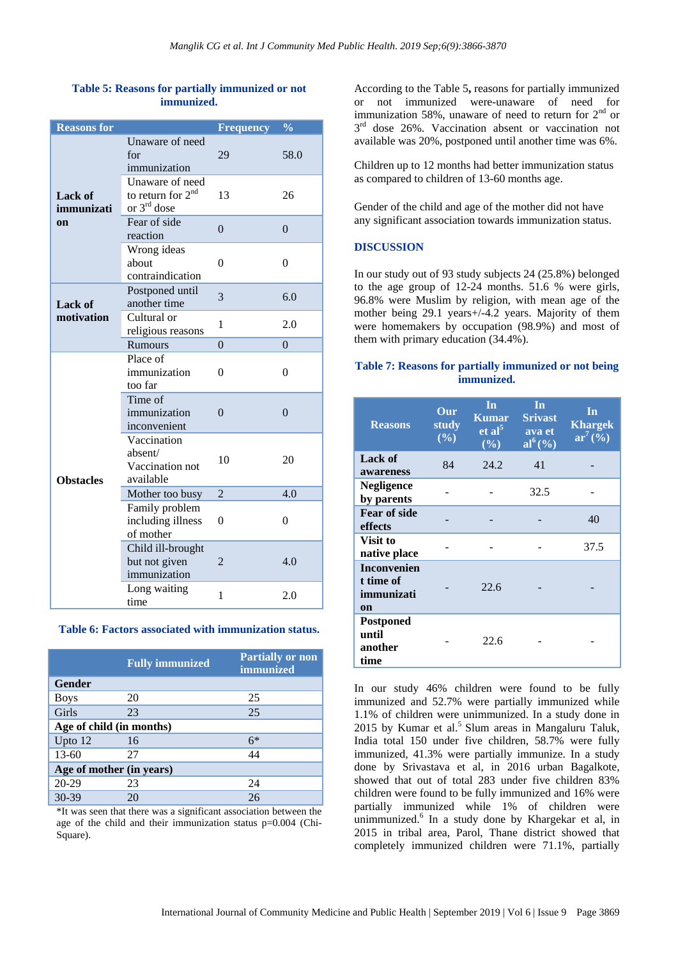# **Table 5: Reasons for partially immunized or not immunized.**

| <b>Reasons for</b>    |                                                                         | <b>Frequency</b> | $\frac{0}{0}$ |
|-----------------------|-------------------------------------------------------------------------|------------------|---------------|
| Lack of<br>immunizati | Unaware of need<br>for<br>immunization                                  | 29               | 58.0          |
|                       | Unaware of need<br>to return for $2nd$<br>13<br>or 3 <sup>rd</sup> dose |                  | 26            |
| <sub>on</sub>         | Fear of side<br>reaction                                                | $\theta$         |               |
|                       | Wrong ideas<br>about<br>contraindication                                | $\theta$         | $\theta$      |
| <b>Lack of</b>        | Postponed until<br>another time                                         | 3                | 6.0           |
| motivation            | Cultural or<br>religious reasons                                        | 1                | 2.0           |
|                       | Rumours                                                                 | $\theta$         | $\theta$      |
|                       | Place of<br>immunization<br>too far                                     | 0                | $\theta$      |
|                       | Time of<br>immunization<br>inconvenient                                 | $\overline{0}$   | $\Omega$      |
| <b>Obstacles</b>      | Vaccination<br>absent/<br>Vaccination not<br>available                  | 10               | 20            |
|                       | Mother too busy                                                         | $\overline{2}$   | 4.0           |
|                       | Family problem<br>including illness<br>of mother                        | 0                | 0             |
|                       | Child ill-brought<br>but not given<br>immunization                      | $\overline{2}$   | 4.0           |
|                       | Long waiting<br>time                                                    | 1                | 2.0           |

## **Table 6: Factors associated with immunization status.**

|                          | <b>Fully immunized</b> | <b>Partially or non</b><br><i>immunized</i> |  |  |
|--------------------------|------------------------|---------------------------------------------|--|--|
| Gender                   |                        |                                             |  |  |
| <b>Boys</b>              | 20                     | 25                                          |  |  |
| Girls                    | 23                     | 25                                          |  |  |
| Age of child (in months) |                        |                                             |  |  |
| Upto $12$                | 16                     | $6*$                                        |  |  |
| $13 - 60$                | 27                     | 44                                          |  |  |
| Age of mother (in years) |                        |                                             |  |  |
| 20-29                    | 23                     | 24                                          |  |  |
| $30-39$                  | 20                     | 26                                          |  |  |

\*It was seen that there was a significant association between the age of the child and their immunization status p=0.004 (Chi-Square).

According to the Table 5**,** reasons for partially immunized or not immunized were-unaware of need for immunization 58%, unaware of need to return for  $2<sup>nd</sup>$  or 3<sup>rd</sup> dose 26%. Vaccination absent or vaccination not available was 20%, postponed until another time was 6%.

Children up to 12 months had better immunization status as compared to children of 13-60 months age.

Gender of the child and age of the mother did not have any significant association towards immunization status.

## **DISCUSSION**

In our study out of 93 study subjects 24 (25.8%) belonged to the age group of 12-24 months. 51.6 % were girls, 96.8% were Muslim by religion, with mean age of the mother being 29.1 years+/-4.2 years. Majority of them were homemakers by occupation (98.9%) and most of them with primary education (34.4%).

# **Table 7: Reasons for partially immunized or not being immunized.**

| <b>Reasons</b>                                      | Our<br>study<br>$(\%)$ | In<br><b>Kumar</b><br>et al <sup>5</sup><br>(%) | In<br><b>Srivast</b><br>ava et<br>$al^6(\sqrt[6]{\bullet})$ | In<br><b>Khargek</b><br>$ar^7($ %) |
|-----------------------------------------------------|------------------------|-------------------------------------------------|-------------------------------------------------------------|------------------------------------|
| Lack of<br>awareness                                | 84                     | 24.2                                            | 41                                                          |                                    |
| <b>Negligence</b><br>by parents                     |                        |                                                 | 32.5                                                        |                                    |
| <b>Fear of side</b><br>effects                      |                        |                                                 |                                                             | 40                                 |
| Visit to<br>native place                            |                        |                                                 |                                                             | 37.5                               |
| <b>Inconvenien</b><br>t time of<br>immunizati<br>on |                        | 22.6                                            |                                                             |                                    |
| Postponed<br>until<br>another<br>time               |                        | 22.6                                            |                                                             |                                    |

In our study 46% children were found to be fully immunized and 52.7% were partially immunized while 1.1% of children were unimmunized. In a study done in 2015 by Kumar et al.<sup>5</sup> Slum areas in Mangaluru Taluk, India total 150 under five children, 58.7% were fully immunized, 41.3% were partially immunize. In a study done by Srivastava et al, in 2016 urban Bagalkote, showed that out of total 283 under five children 83% children were found to be fully immunized and 16% were partially immunized while 1% of children were unimmunized.<sup>6</sup> In a study done by Khargekar et al, in 2015 in tribal area, Parol, Thane district showed that completely immunized children were 71.1%, partially